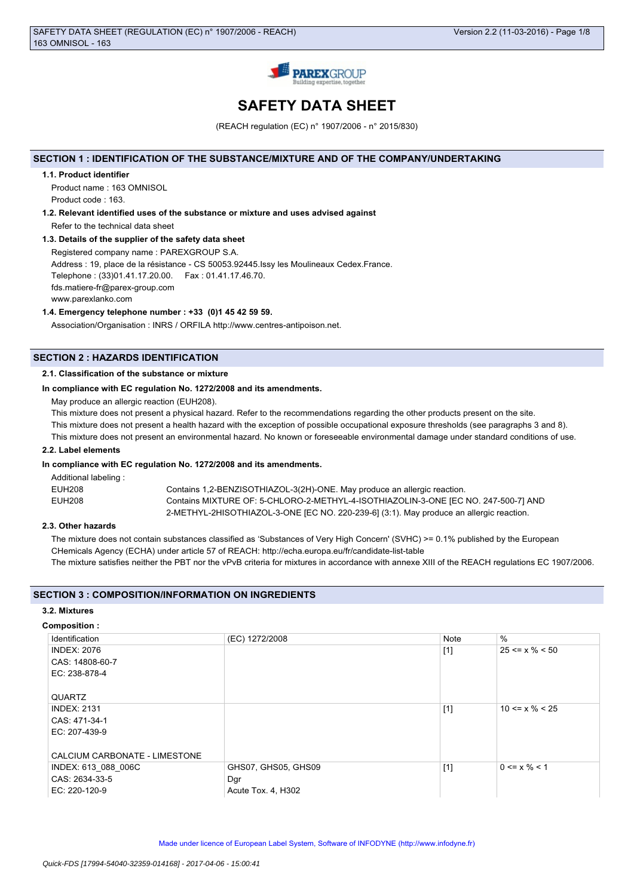

# **SAFETY DATA SHEET**

(REACH regulation (EC) n° 1907/2006 - n° 2015/830)

# **SECTION 1 : IDENTIFICATION OF THE SUBSTANCE/MIXTURE AND OF THE COMPANY/UNDERTAKING**

## **1.1. Product identifier**

Product name : 163 OMNISOL Product code : 163.

# **1.2. Relevant identified uses of the substance or mixture and uses advised against**

Refer to the technical data sheet

# **1.3. Details of the supplier of the safety data sheet**

Registered company name : PAREXGROUP S.A. Address : 19, place de la résistance - CS 50053.92445.Issy les Moulineaux Cedex.France. Telephone : (33)01.41.17.20.00. Fax : 01.41.17.46.70. fds.matiere-fr@parex-group.com www.parexlanko.com

# **1.4. Emergency telephone number : +33 (0)1 45 42 59 59.**

Association/Organisation : INRS / ORFILA http://www.centres-antipoison.net.

# **SECTION 2 : HAZARDS IDENTIFICATION**

## **2.1. Classification of the substance or mixture**

### **In compliance with EC regulation No. 1272/2008 and its amendments.**

May produce an allergic reaction (EUH208).

This mixture does not present a physical hazard. Refer to the recommendations regarding the other products present on the site.

This mixture does not present a health hazard with the exception of possible occupational exposure thresholds (see paragraphs 3 and 8).

This mixture does not present an environmental hazard. No known or foreseeable environmental damage under standard conditions of use.

## **2.2. Label elements**

### **In compliance with EC regulation No. 1272/2008 and its amendments.**

| Additional labeling: |                                                                                         |
|----------------------|-----------------------------------------------------------------------------------------|
| EUH208               | Contains 1,2-BENZISOTHIAZOL-3(2H)-ONE. May produce an allergic reaction.                |
| EUH208               | Contains MIXTURE OF: 5-CHLORO-2-METHYL-4-ISOTHIAZOLIN-3-ONE JEC NO. 247-500-71 AND      |
|                      | 2-METHYL-2HISOTHIAZOL-3-ONE [EC NO. 220-239-6] (3:1). May produce an allergic reaction. |

## **2.3. Other hazards**

The mixture does not contain substances classified as 'Substances of Very High Concern' (SVHC) >= 0.1% published by the European CHemicals Agency (ECHA) under article 57 of REACH: http://echa.europa.eu/fr/candidate-list-table The mixture satisfies neither the PBT nor the vPvB criteria for mixtures in accordance with annexe XIII of the REACH regulations EC 1907/2006.

# **SECTION 3 : COMPOSITION/INFORMATION ON INGREDIENTS**

## **3.2. Mixtures**

### **Composition :**

| Identification                | (EC) 1272/2008      | Note  | $\%$                 |
|-------------------------------|---------------------|-------|----------------------|
| <b>INDEX: 2076</b>            |                     | $[1]$ | $25 \le x \% \le 50$ |
| CAS: 14808-60-7               |                     |       |                      |
| EC: 238-878-4                 |                     |       |                      |
|                               |                     |       |                      |
| QUARTZ                        |                     |       |                      |
| <b>INDEX: 2131</b>            |                     | $[1]$ | $10 \le x \% \le 25$ |
| CAS: 471-34-1                 |                     |       |                      |
| EC: 207-439-9                 |                     |       |                      |
|                               |                     |       |                      |
| CALCIUM CARBONATE - LIMESTONE |                     |       |                      |
| INDEX: 613 088 006C           | GHS07, GHS05, GHS09 | $[1]$ | $0 \le x \% \le 1$   |
| CAS: 2634-33-5                | Dgr                 |       |                      |
| EC: 220-120-9                 | Acute Tox. 4, H302  |       |                      |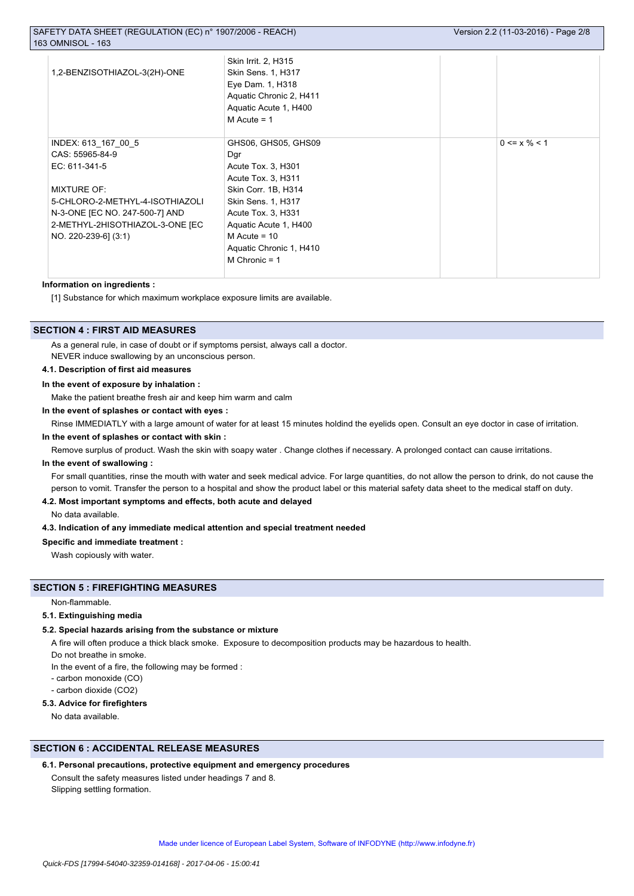| 1,2-BENZISOTHIAZOL-3(2H)-ONE    | Skin Irrit. 2, H315<br><b>Skin Sens. 1, H317</b><br>Eye Dam. 1, H318<br>Aquatic Chronic 2, H411<br>Aquatic Acute 1, H400<br>$M$ Acute = 1 |                    |
|---------------------------------|-------------------------------------------------------------------------------------------------------------------------------------------|--------------------|
| INDEX: 613_167_00_5             | GHS06, GHS05, GHS09                                                                                                                       | $0 \le x \% \le 1$ |
| CAS: 55965-84-9                 | Dgr                                                                                                                                       |                    |
| EC: 611-341-5                   | Acute Tox. 3, H301                                                                                                                        |                    |
|                                 | Acute Tox. 3, H311                                                                                                                        |                    |
| <b>MIXTURE OF:</b>              | Skin Corr. 1B, H314                                                                                                                       |                    |
| 5-CHLORO-2-METHYL-4-ISOTHIAZOLI | <b>Skin Sens. 1, H317</b>                                                                                                                 |                    |
| N-3-ONE [EC NO. 247-500-7] AND  | Acute Tox. 3, H331                                                                                                                        |                    |
| 2-METHYL-2HISOTHIAZOL-3-ONE [EC | Aquatic Acute 1, H400                                                                                                                     |                    |
| NO. 220-239-6] (3:1)            | M Acute = $10$                                                                                                                            |                    |
|                                 | Aquatic Chronic 1, H410                                                                                                                   |                    |
|                                 | M Chronic $= 1$                                                                                                                           |                    |
|                                 |                                                                                                                                           |                    |

### **Information on ingredients :**

[1] Substance for which maximum workplace exposure limits are available.

# **SECTION 4 : FIRST AID MEASURES**

As a general rule, in case of doubt or if symptoms persist, always call a doctor. NEVER induce swallowing by an unconscious person.

# **4.1. Description of first aid measures**

## **In the event of exposure by inhalation :**

Make the patient breathe fresh air and keep him warm and calm

## **In the event of splashes or contact with eyes :**

Rinse IMMEDIATLY with a large amount of water for at least 15 minutes holdind the eyelids open. Consult an eye doctor in case of irritation.

## **In the event of splashes or contact with skin :**

Remove surplus of product. Wash the skin with soapy water . Change clothes if necessary. A prolonged contact can cause irritations.

### **In the event of swallowing :**

For small quantities, rinse the mouth with water and seek medical advice. For large quantities, do not allow the person to drink, do not cause the person to vomit. Transfer the person to a hospital and show the product label or this material safety data sheet to the medical staff on duty.

### **4.2. Most important symptoms and effects, both acute and delayed**

No data available.

### **4.3. Indication of any immediate medical attention and special treatment needed**

**Specific and immediate treatment :**

Wash copiously with water.

## **SECTION 5 : FIREFIGHTING MEASURES**

### Non-flammable.

## **5.1. Extinguishing media**

## **5.2. Special hazards arising from the substance or mixture**

A fire will often produce a thick black smoke. Exposure to decomposition products may be hazardous to health.

Do not breathe in smoke.

In the event of a fire, the following may be formed :

- carbon monoxide (CO)
- carbon dioxide (CO2)

# **5.3. Advice for firefighters**

No data available.

# **SECTION 6 : ACCIDENTAL RELEASE MEASURES**

# **6.1. Personal precautions, protective equipment and emergency procedures**

Consult the safety measures listed under headings 7 and 8. Slipping settling formation.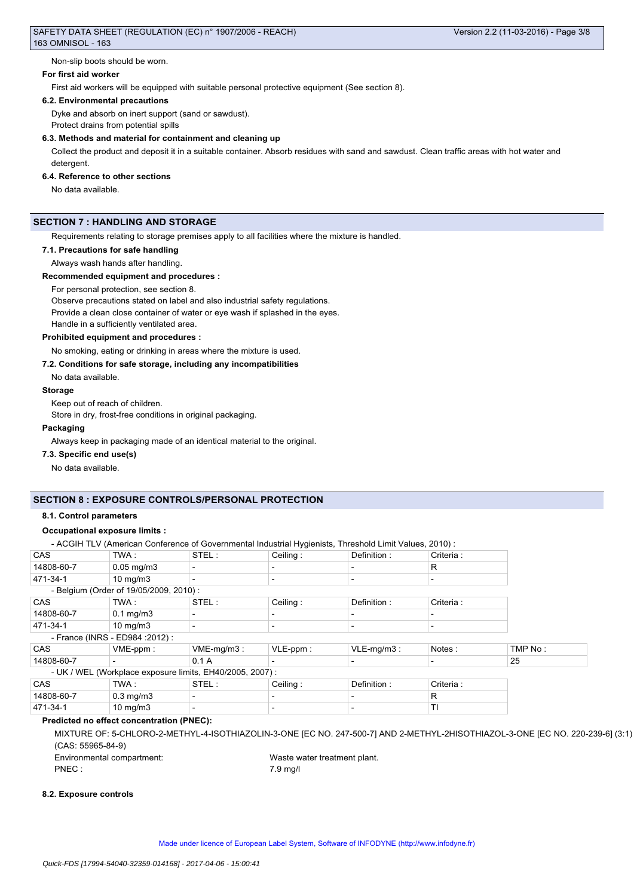Non-slip boots should be worn.

### **For first aid worker**

First aid workers will be equipped with suitable personal protective equipment (See section 8).

### **6.2. Environmental precautions**

Dyke and absorb on inert support (sand or sawdust).

Protect drains from potential spills

### **6.3. Methods and material for containment and cleaning up**

Collect the product and deposit it in a suitable container. Absorb residues with sand and sawdust. Clean traffic areas with hot water and detergent.

### **6.4. Reference to other sections**

No data available.

# **SECTION 7 : HANDLING AND STORAGE**

Requirements relating to storage premises apply to all facilities where the mixture is handled.

### **7.1. Precautions for safe handling**

Always wash hands after handling.

### **Recommended equipment and procedures :**

For personal protection, see section 8.

Observe precautions stated on label and also industrial safety regulations.

Provide a clean close container of water or eye wash if splashed in the eyes.

Handle in a sufficiently ventilated area.

### **Prohibited equipment and procedures :**

No smoking, eating or drinking in areas where the mixture is used.

## **7.2. Conditions for safe storage, including any incompatibilities**

No data available.

### **Storage**

Keep out of reach of children.

Store in dry, frost-free conditions in original packaging.

### **Packaging**

Always keep in packaging made of an identical material to the original.

### **7.3. Specific end use(s)**

No data available.

## **SECTION 8 : EXPOSURE CONTROLS/PERSONAL PROTECTION**

## **8.1. Control parameters**

# **Occupational exposure limits :**

- ACGIH TLV (American Conference of Governmental Industrial Hygienists, Threshold Limit Values, 2010) :

| CAS                              | TWA:                                   | STEL:                                                    | Ceiling:    | Definition:              | Criteria:  |         |
|----------------------------------|----------------------------------------|----------------------------------------------------------|-------------|--------------------------|------------|---------|
| 14808-60-7                       | $0.05$ mg/m $3$                        | $\overline{\phantom{0}}$                                 |             | $\overline{\phantom{a}}$ | R          |         |
| 471-34-1                         | $10 \text{ mg/m}$                      | $\overline{\phantom{0}}$                                 |             | $\overline{\phantom{a}}$ |            |         |
|                                  | - Belgium (Order of 19/05/2009, 2010): |                                                          |             |                          |            |         |
| <b>CAS</b>                       | TWA:                                   | STEL:                                                    | Ceiling:    | Definition:              | Criteria : |         |
| 14808-60-7                       | $0.1 \text{ mg/m}$ 3                   | $\overline{\phantom{0}}$                                 |             | $\overline{\phantom{a}}$ |            |         |
| 471-34-1                         | $10 \text{ mg/m}$                      | $\overline{\phantom{a}}$                                 |             | $\overline{\phantom{a}}$ |            |         |
| - France (INRS - ED984 : 2012) : |                                        |                                                          |             |                          |            |         |
| <b>CAS</b>                       | $VME-ppm$ :                            | $VME-mq/m3$ :                                            | $VLE-ppm$ : | $VLE-mq/m3$ :            | Notes:     | TMP No: |
| 14808-60-7                       |                                        | 0.1A                                                     |             | $\overline{\phantom{a}}$ |            | 25      |
|                                  |                                        | - UK / WEL (Workplace exposure limits, EH40/2005, 2007): |             |                          |            |         |
| <b>CAS</b>                       | TWA:                                   | STEL:                                                    | Ceiling:    | Definition:              | Criteria:  |         |
| 14808-60-7                       | $0.3 \text{ mg/m}$                     | $\overline{\phantom{a}}$                                 |             | $\overline{\phantom{a}}$ | R          |         |
| 471-34-1                         | $10 \text{ mg/m}$                      | $\overline{\phantom{a}}$                                 |             | $\overline{\phantom{a}}$ | ΤI         |         |

# **Predicted no effect concentration (PNEC):**

MIXTURE OF: 5-CHLORO-2-METHYL-4-ISOTHIAZOLIN-3-ONE [EC NO. 247-500-7] AND 2-METHYL-2HISOTHIAZOL-3-ONE [EC NO. 220-239-6] (3:1) (CAS: 55965-84-9)

Environmental compartment: Waste water treatment plant. PNEC : 7.9 mg/l

### **8.2. Exposure controls**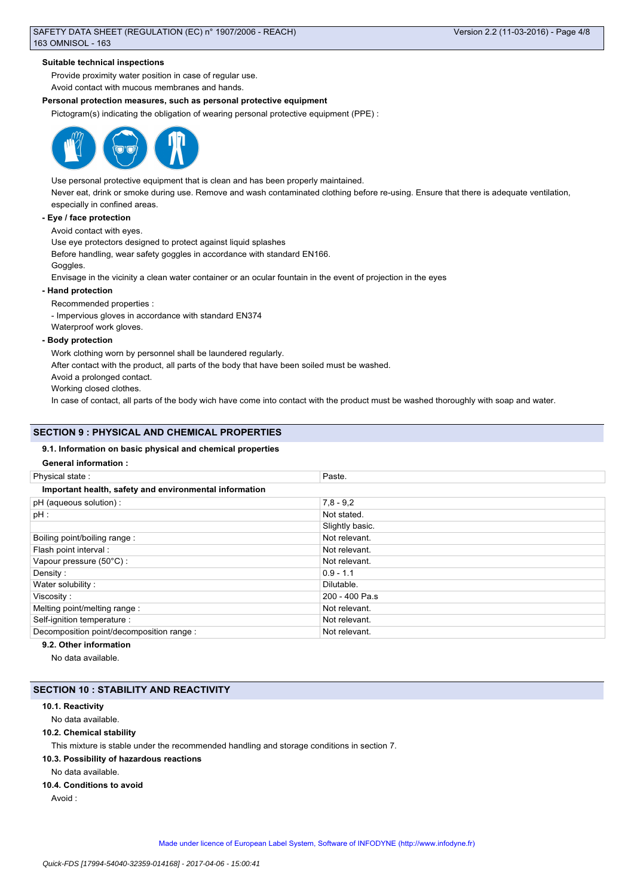### **Suitable technical inspections**

Provide proximity water position in case of regular use.

Avoid contact with mucous membranes and hands.

## **Personal protection measures, such as personal protective equipment**

Pictogram(s) indicating the obligation of wearing personal protective equipment (PPE) :



Use personal protective equipment that is clean and has been properly maintained.

Never eat, drink or smoke during use. Remove and wash contaminated clothing before re-using. Ensure that there is adequate ventilation, especially in confined areas.

### **- Eye / face protection**

Avoid contact with eyes.

Use eye protectors designed to protect against liquid splashes

Before handling, wear safety goggles in accordance with standard EN166.

# Goggles.

Envisage in the vicinity a clean water container or an ocular fountain in the event of projection in the eyes

### **- Hand protection**

Recommended properties :

- Impervious gloves in accordance with standard EN374 Waterproof work gloves.

### **- Body protection**

Work clothing worn by personnel shall be laundered regularly.

After contact with the product, all parts of the body that have been soiled must be washed.

Avoid a prolonged contact.

Working closed clothes.

In case of contact, all parts of the body wich have come into contact with the product must be washed thoroughly with soap and water.

### **SECTION 9 : PHYSICAL AND CHEMICAL PROPERTIES**

### **9.1. Information on basic physical and chemical properties**

## **General information :**

| Physical state:                                        | Paste.          |  |
|--------------------------------------------------------|-----------------|--|
| Important health, safety and environmental information |                 |  |
| pH (aqueous solution) :                                | $7,8 - 9,2$     |  |
| $pH$ :                                                 | Not stated.     |  |
|                                                        | Slightly basic. |  |
| Boiling point/boiling range:                           | Not relevant.   |  |
| Flash point interval :                                 | Not relevant.   |  |
| Vapour pressure (50°C):                                | Not relevant.   |  |
| Density:                                               | $0.9 - 1.1$     |  |
| Water solubility:                                      | Dilutable.      |  |
| Viscosity :                                            | 200 - 400 Pa.s  |  |
| Melting point/melting range:                           | Not relevant.   |  |
| Self-ignition temperature :                            | Not relevant.   |  |
| Decomposition point/decomposition range :              | Not relevant.   |  |

# **9.2. Other information**

No data available.

## **SECTION 10 : STABILITY AND REACTIVITY**

## **10.1. Reactivity**

No data available.

### **10.2. Chemical stability**

This mixture is stable under the recommended handling and storage conditions in section 7.

### **10.3. Possibility of hazardous reactions**

No data available.

# **10.4. Conditions to avoid**

Avoid :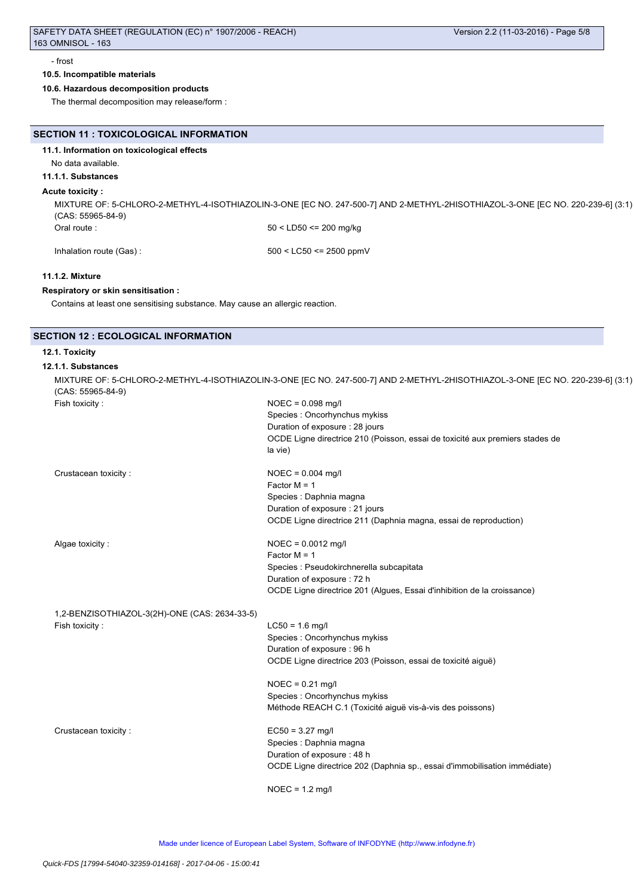### - frost

## **10.5. Incompatible materials**

# **10.6. Hazardous decomposition products**

The thermal decomposition may release/form :

|  | SECTION 11 : TOXICOLOGICAL INFORMATION |  |
|--|----------------------------------------|--|
|--|----------------------------------------|--|

**11.1. Information on toxicological effects**

No data available.

## **11.1.1. Substances**

### **Acute toxicity :**

MIXTURE OF: 5-CHLORO-2-METHYL-4-ISOTHIAZOLIN-3-ONE [EC NO. 247-500-7] AND 2-METHYL-2HISOTHIAZOL-3-ONE [EC NO. 220-239-6] (3:1) (CAS: 55965-84-9) Oral route : 50 < LD50 <= 200 mg/kg

Inhalation route (Gas) : 500 < LC50 <= 2500 ppmV

## **11.1.2. Mixture**

### **Respiratory or skin sensitisation :**

Contains at least one sensitising substance. May cause an allergic reaction.

# **SECTION 12 : ECOLOGICAL INFORMATION**

# **12.1. Toxicity**

### **12.1.1. Substances**

| $(CAS: 55965-84-9)$                           | MIXTURE OF: 5-CHLORO-2-METHYL-4-ISOTHIAZOLIN-3-ONE [EC NO. 247-500-7] AND 2-METHYL-2HISOTHIAZOL-3-ONE [EC NO. 220-239-6] (3:1) |
|-----------------------------------------------|--------------------------------------------------------------------------------------------------------------------------------|
| Fish toxicity:                                | $NOEC = 0.098$ mg/l                                                                                                            |
|                                               | Species : Oncorhynchus mykiss                                                                                                  |
|                                               | Duration of exposure: 28 jours                                                                                                 |
|                                               | OCDE Ligne directrice 210 (Poisson, essai de toxicité aux premiers stades de                                                   |
|                                               | la vie)                                                                                                                        |
| Crustacean toxicity:                          | $NOEC = 0.004$ mg/l                                                                                                            |
|                                               | Factor $M = 1$                                                                                                                 |
|                                               | Species : Daphnia magna                                                                                                        |
|                                               | Duration of exposure : 21 jours                                                                                                |
|                                               | OCDE Ligne directrice 211 (Daphnia magna, essai de reproduction)                                                               |
| Algae toxicity:                               | $NOEC = 0.0012$ mg/l                                                                                                           |
|                                               | Factor $M = 1$                                                                                                                 |
|                                               | Species : Pseudokirchnerella subcapitata                                                                                       |
|                                               | Duration of exposure: 72 h                                                                                                     |
|                                               | OCDE Ligne directrice 201 (Algues, Essai d'inhibition de la croissance)                                                        |
| 1,2-BENZISOTHIAZOL-3(2H)-ONE (CAS: 2634-33-5) |                                                                                                                                |

Fish toxicity : LC50 = 1.6 mg/l

Species : Oncorhynchus mykiss Duration of exposure : 96 h OCDE Ligne directrice 203 (Poisson, essai de toxicité aiguë)

NOEC = 0.21 mg/l Species : Oncorhynchus mykiss Méthode REACH C.1 (Toxicité aiguë vis-à-vis des poissons)

Crustacean toxicity : EC50 = 3.27 mg/l

Species : Daphnia magna Duration of exposure : 48 h OCDE Ligne directrice 202 (Daphnia sp., essai d'immobilisation immédiate)

NOEC = 1.2 mg/l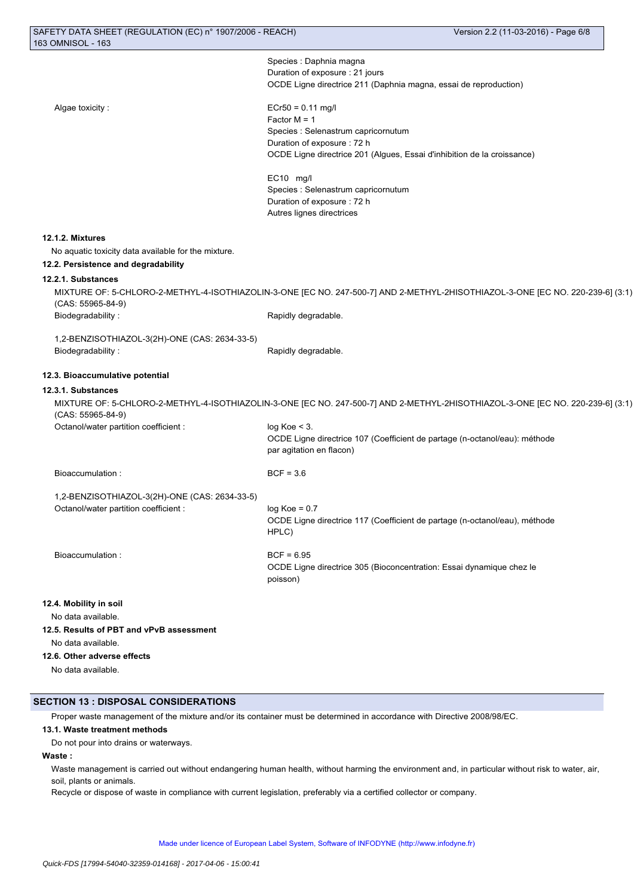Species : Daphnia magna Duration of exposure : 21 jours OCDE Ligne directrice 211 (Daphnia magna, essai de reproduction)

Algae toxicity : ECr50 = 0.11 mg/l Factor M = 1 Species : Selenastrum capricornutum Duration of exposure : 72 h OCDE Ligne directrice 201 (Algues, Essai d'inhibition de la croissance)

> EC10 mg/l Species : Selenastrum capricornutum Duration of exposure : 72 h Autres lignes directrices

### **12.1.2. Mixtures**

No aquatic toxicity data available for the mixture.

# **12.2. Persistence and degradability**

# **12.2.1. Substances**

MIXTURE OF: 5-CHLORO-2-METHYL-4-ISOTHIAZOLIN-3-ONE [EC NO. 247-500-7] AND 2-METHYL-2HISOTHIAZOL-3-ONE [EC NO. 220-239-6] (3:1) (CAS: 55965-84-9) Biodegradability : The Contract of the Rapidly degradable.

1,2-BENZISOTHIAZOL-3(2H)-ONE (CAS: 2634-33-5) Biodegradability : The Contract of the Rapidly degradable.

## **12.3. Bioaccumulative potential**

### **12.3.1. Substances**

MIXTURE OF: 5-CHLORO-2-METHYL-4-ISOTHIAZOLIN-3-ONE [EC NO. 247-500-7] AND 2-METHYL-2HISOTHIAZOL-3-ONE [EC NO. 220-239-6] (3:1) (CAS: 55965-84-9) Octanol/water partition coefficient : log Koe < 3.

|                                                                                       | OCDE Ligne directrice 107 (Coefficient de partage (n-octanol/eau): méthode<br>par agitation en flacon) |
|---------------------------------------------------------------------------------------|--------------------------------------------------------------------------------------------------------|
| Bioaccumulation:                                                                      | $BCF = 3.6$                                                                                            |
| 1,2-BENZISOTHIAZOL-3(2H)-ONE (CAS: 2634-33-5)<br>Octanol/water partition coefficient: | $log Koe = 0.7$<br>OCDE Ligne directrice 117 (Coefficient de partage (n-octanol/eau), méthode<br>HPLC) |
| Bioaccumulation:                                                                      | $BCF = 6.95$<br>OCDE Ligne directrice 305 (Bioconcentration: Essai dynamique chez le<br>poisson)       |

# **12.4. Mobility in soil**

No data available.

# **12.5. Results of PBT and vPvB assessment**

No data available.

### **12.6. Other adverse effects**

No data available.

## **SECTION 13 : DISPOSAL CONSIDERATIONS**

Proper waste management of the mixture and/or its container must be determined in accordance with Directive 2008/98/EC.

### **13.1. Waste treatment methods**

Do not pour into drains or waterways.

## **Waste :**

Waste management is carried out without endangering human health, without harming the environment and, in particular without risk to water, air, soil, plants or animals.

Recycle or dispose of waste in compliance with current legislation, preferably via a certified collector or company.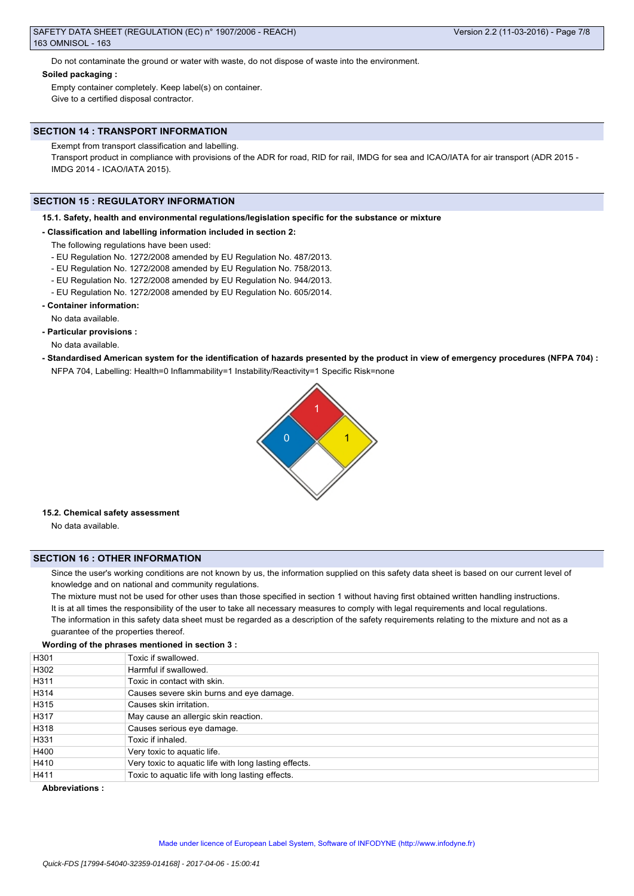Do not contaminate the ground or water with waste, do not dispose of waste into the environment.

### **Soiled packaging :**

Empty container completely. Keep label(s) on container. Give to a certified disposal contractor.

## **SECTION 14 : TRANSPORT INFORMATION**

Exempt from transport classification and labelling.

Transport product in compliance with provisions of the ADR for road, RID for rail, IMDG for sea and ICAO/IATA for air transport (ADR 2015 - IMDG 2014 - ICAO/IATA 2015).

## **SECTION 15 : REGULATORY INFORMATION**

### **15.1. Safety, health and environmental regulations/legislation specific for the substance or mixture**

### **- Classification and labelling information included in section 2:**

- The following regulations have been used:
- EU Regulation No. 1272/2008 amended by EU Regulation No. 487/2013.
- EU Regulation No. 1272/2008 amended by EU Regulation No. 758/2013.
- EU Regulation No. 1272/2008 amended by EU Regulation No. 944/2013.
- EU Regulation No. 1272/2008 amended by EU Regulation No. 605/2014.
- **Container information:**

No data available.

**- Particular provisions :**

No data available.

**- Standardised American system for the identification of hazards presented by the product in view of emergency procedures (NFPA 704) :** NFPA 704, Labelling: Health=0 Inflammability=1 Instability/Reactivity=1 Specific Risk=none



### **15.2. Chemical safety assessment**

No data available.

## **SECTION 16 : OTHER INFORMATION**

Since the user's working conditions are not known by us, the information supplied on this safety data sheet is based on our current level of knowledge and on national and community regulations.

The mixture must not be used for other uses than those specified in section 1 without having first obtained written handling instructions. It is at all times the responsibility of the user to take all necessary measures to comply with legal requirements and local regulations.

The information in this safety data sheet must be regarded as a description of the safety requirements relating to the mixture and not as a guarantee of the properties thereof.

# **Wording of the phrases mentioned in section 3 :**

| H301 | Toxic if swallowed.                                   |
|------|-------------------------------------------------------|
|      |                                                       |
| H302 | Harmful if swallowed.                                 |
| H311 | Toxic in contact with skin.                           |
| H314 | Causes severe skin burns and eye damage.              |
| H315 | Causes skin irritation.                               |
| H317 | May cause an allergic skin reaction.                  |
| H318 | Causes serious eye damage.                            |
| H331 | Toxic if inhaled.                                     |
| H400 | Very toxic to aquatic life.                           |
| H410 | Very toxic to aquatic life with long lasting effects. |
| H411 | Toxic to aquatic life with long lasting effects.      |

### **Abbreviations :**